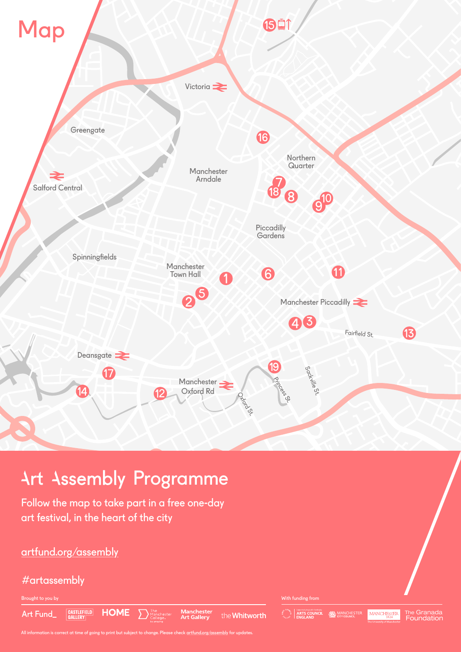

# artfund.org/assembly

# #artassembly

Brought to you by With funding from

CASTLEFIELD Art Fund

**Manchester**<br>Art Gallery

the **Whitworth** 



All information is correct at time of going to print but subject to change. Please check artfund.org/assembly for updates.

**HOME**